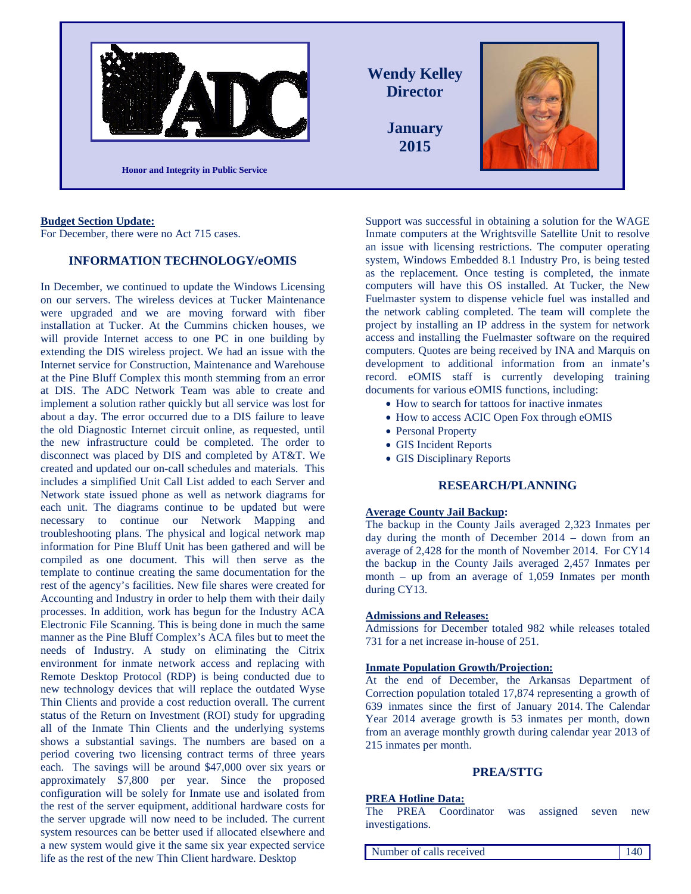

## **Budget Section Update:**

For December, there were no Act 715 cases.

# **INFORMATION TECHNOLOGY/eOMIS**

In December, we continued to update the Windows Licensing on our servers. The wireless devices at Tucker Maintenance were upgraded and we are moving forward with fiber installation at Tucker. At the Cummins chicken houses, we will provide Internet access to one PC in one building by extending the DIS wireless project. We had an issue with the Internet service for Construction, Maintenance and Warehouse at the Pine Bluff Complex this month stemming from an error at DIS. The ADC Network Team was able to create and implement a solution rather quickly but all service was lost for about a day. The error occurred due to a DIS failure to leave the old Diagnostic Internet circuit online, as requested, until the new infrastructure could be completed. The order to disconnect was placed by DIS and completed by AT&T. We created and updated our on-call schedules and materials. This includes a simplified Unit Call List added to each Server and Network state issued phone as well as network diagrams for each unit. The diagrams continue to be updated but were necessary to continue our Network Mapping and troubleshooting plans. The physical and logical network map information for Pine Bluff Unit has been gathered and will be compiled as one document. This will then serve as the template to continue creating the same documentation for the rest of the agency's facilities. New file shares were created for Accounting and Industry in order to help them with their daily processes. In addition, work has begun for the Industry ACA Electronic File Scanning. This is being done in much the same manner as the Pine Bluff Complex's ACA files but to meet the needs of Industry. A study on eliminating the Citrix environment for inmate network access and replacing with Remote Desktop Protocol (RDP) is being conducted due to new technology devices that will replace the outdated Wyse Thin Clients and provide a cost reduction overall. The current status of the Return on Investment (ROI) study for upgrading all of the Inmate Thin Clients and the underlying systems shows a substantial savings. The numbers are based on a period covering two licensing contract terms of three years each. The savings will be around \$47,000 over six years or approximately \$7,800 per year. Since the proposed configuration will be solely for Inmate use and isolated from the rest of the server equipment, additional hardware costs for the server upgrade will now need to be included. The current system resources can be better used if allocated elsewhere and a new system would give it the same six year expected service life as the rest of the new Thin Client hardware. Desktop

Support was successful in obtaining a solution for the WAGE Inmate computers at the Wrightsville Satellite Unit to resolve an issue with licensing restrictions. The computer operating system, Windows Embedded 8.1 Industry Pro, is being tested as the replacement. Once testing is completed, the inmate computers will have this OS installed. At Tucker, the New Fuelmaster system to dispense vehicle fuel was installed and the network cabling completed. The team will complete the project by installing an IP address in the system for network access and installing the Fuelmaster software on the required computers. Quotes are being received by INA and Marquis on development to additional information from an inmate's record. eOMIS staff is currently developing training documents for various eOMIS functions, including:

- How to search for tattoos for inactive inmates
- How to access ACIC Open Fox through eOMIS
- Personal Property
- GIS Incident Reports
- GIS Disciplinary Reports

# **RESEARCH/PLANNING**

# **Average County Jail Backup:**

The backup in the County Jails averaged 2,323 Inmates per day during the month of December 2014 – down from an average of 2,428 for the month of November 2014. For CY14 the backup in the County Jails averaged 2,457 Inmates per month – up from an average of 1,059 Inmates per month during CY13.

#### **Admissions and Releases:**

Admissions for December totaled 982 while releases totaled 731 for a net increase in-house of 251.

#### **Inmate Population Growth/Projection:**

At the end of December, the Arkansas Department of Correction population totaled 17,874 representing a growth of 639 inmates since the first of January 2014. The Calendar Year 2014 average growth is 53 inmates per month, down from an average monthly growth during calendar year 2013 of 215 inmates per month.

# **PREA/STTG**

#### **PREA Hotline Data:**

The PREA Coordinator was assigned seven new investigations.

Number of calls received 140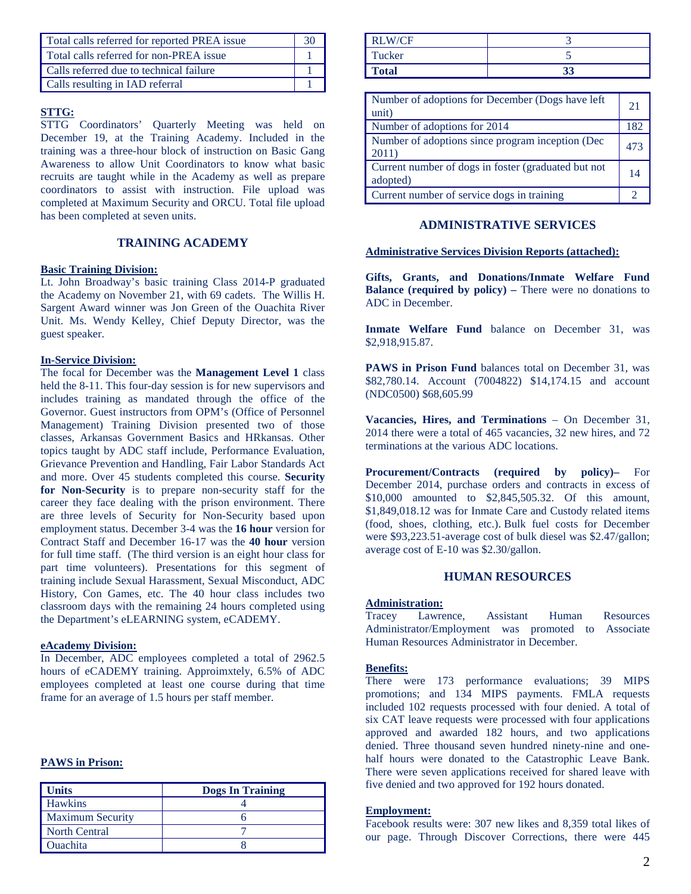| Total calls referred for reported PREA issue |  |
|----------------------------------------------|--|
| Total calls referred for non-PREA issue      |  |
| Calls referred due to technical failure      |  |
| Calls resulting in IAD referral              |  |

# **STTG:**

STTG Coordinators' Quarterly Meeting was held on December 19, at the Training Academy. Included in the training was a three-hour block of instruction on Basic Gang Awareness to allow Unit Coordinators to know what basic recruits are taught while in the Academy as well as prepare coordinators to assist with instruction. File upload was completed at Maximum Security and ORCU. Total file upload has been completed at seven units.

# **TRAINING ACADEMY**

## **Basic Training Division:**

Lt. John Broadway's basic training Class 2014-P graduated the Academy on November 21, with 69 cadets. The Willis H. Sargent Award winner was Jon Green of the Ouachita River Unit. Ms. Wendy Kelley, Chief Deputy Director, was the guest speaker.

## **In-Service Division:**

The focal for December was the **Management Level 1** class held the 8-11. This four-day session is for new supervisors and includes training as mandated through the office of the Governor. Guest instructors from OPM's (Office of Personnel Management) Training Division presented two of those classes, Arkansas Government Basics and HRkansas. Other topics taught by ADC staff include, Performance Evaluation, Grievance Prevention and Handling, Fair Labor Standards Act and more. Over 45 students completed this course. **Security for Non-Security** is to prepare non-security staff for the career they face dealing with the prison environment. There are three levels of Security for Non-Security based upon employment status. December 3-4 was the **16 hour** version for Contract Staff and December 16-17 was the **40 hour** version for full time staff. (The third version is an eight hour class for part time volunteers). Presentations for this segment of training include Sexual Harassment, Sexual Misconduct, ADC History, Con Games, etc. The 40 hour class includes two classroom days with the remaining 24 hours completed using the Department's eLEARNING system, eCADEMY.

## **eAcademy Division:**

In December, ADC employees completed a total of 2962.5 hours of eCADEMY training. Approimxtely, 6.5% of ADC employees completed at least one course during that time frame for an average of 1.5 hours per staff member.

# **PAWS in Prison:**

| <b>Units</b>            | <b>Dogs In Training</b> |
|-------------------------|-------------------------|
| <b>Hawkins</b>          |                         |
| <b>Maximum Security</b> |                         |
| North Central           |                         |
| <b>Ouachita</b>         |                         |

| <b>RLW/CF</b> |    |
|---------------|----|
| Tucker        |    |
| <b>Total</b>  | າາ |

| Number of adoptions for December (Dogs have left<br>unit)       | 21  |
|-----------------------------------------------------------------|-----|
| Number of adoptions for 2014                                    | 182 |
| Number of adoptions since program inception (Dec<br>2011)       | 473 |
| Current number of dogs in foster (graduated but not<br>adopted) | 14  |
| Current number of service dogs in training                      |     |

# **ADMINISTRATIVE SERVICES**

# **Administrative Services Division Reports (attached):**

**Gifts, Grants, and Donations/Inmate Welfare Fund Balance (required by policy)** – There were no donations to ADC in December.

**Inmate Welfare Fund** balance on December 31, was \$2,918,915.87.

**PAWS in Prison Fund** balances total on December 31, was \$82,780.14. Account (7004822) \$14,174.15 and account (NDC0500) \$68,605.99

**Vacancies, Hires, and Terminations** – On December 31, 2014 there were a total of 465 vacancies, 32 new hires, and 72 terminations at the various ADC locations.

**Procurement/Contracts (required by policy)–** For December 2014, purchase orders and contracts in excess of \$10,000 amounted to \$2,845,505.32. Of this amount, \$1,849,018.12 was for Inmate Care and Custody related items (food, shoes, clothing, etc.). Bulk fuel costs for December were \$93,223.51-average cost of bulk diesel was \$2.47/gallon; average cost of E-10 was \$2.30/gallon.

# **HUMAN RESOURCES**

# **Administration:**<br>Tracey Lawre

Lawrence, Assistant Human Resources Administrator/Employment was promoted to Associate Human Resources Administrator in December.

# **Benefits:**

There were 173 performance evaluations; 39 MIPS promotions; and 134 MIPS payments. FMLA requests included 102 requests processed with four denied. A total of six CAT leave requests were processed with four applications approved and awarded 182 hours, and two applications denied. Three thousand seven hundred ninety-nine and onehalf hours were donated to the Catastrophic Leave Bank. There were seven applications received for shared leave with five denied and two approved for 192 hours donated.

# **Employment:**

Facebook results were: 307 new likes and 8,359 total likes of our page. Through Discover Corrections, there were 445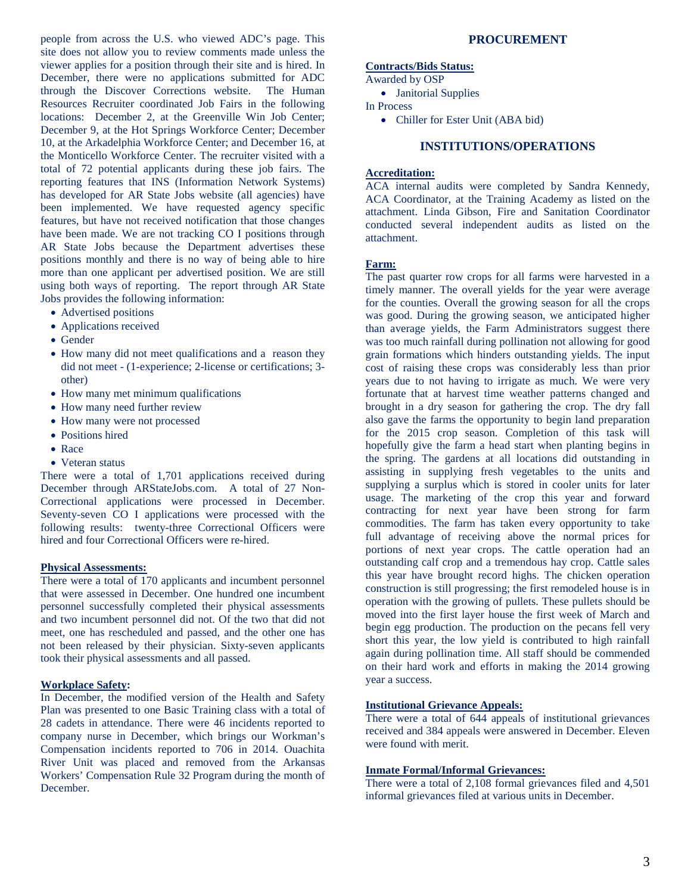people from across the U.S. who viewed ADC's page. This site does not allow you to review comments made unless the viewer applies for a position through their site and is hired. In December, there were no applications submitted for ADC through the Discover Corrections website. The Human Resources Recruiter coordinated Job Fairs in the following locations: December 2, at the Greenville Win Job Center; December 9, at the Hot Springs Workforce Center; December 10, at the Arkadelphia Workforce Center; and December 16, at the Monticello Workforce Center. The recruiter visited with a total of 72 potential applicants during these job fairs. The reporting features that INS (Information Network Systems) has developed for AR State Jobs website (all agencies) have been implemented. We have requested agency specific features, but have not received notification that those changes have been made. We are not tracking CO I positions through AR State Jobs because the Department advertises these positions monthly and there is no way of being able to hire more than one applicant per advertised position. We are still using both ways of reporting. The report through AR State Jobs provides the following information:

- Advertised positions
- Applications received
- Gender
- How many did not meet qualifications and a reason they did not meet - (1-experience; 2-license or certifications; 3 other)
- How many met minimum qualifications
- How many need further review
- How many were not processed
- Positions hired
- Race
- Veteran status

There were a total of 1,701 applications received during December through ARStateJobs.com. A total of 27 Non-Correctional applications were processed in December. Seventy-seven CO I applications were processed with the following results: twenty-three Correctional Officers were hired and four Correctional Officers were re-hired.

#### **Physical Assessments:**

There were a total of 170 applicants and incumbent personnel that were assessed in December. One hundred one incumbent personnel successfully completed their physical assessments and two incumbent personnel did not. Of the two that did not meet, one has rescheduled and passed, and the other one has not been released by their physician. Sixty-seven applicants took their physical assessments and all passed.

# **Workplace Safety:**

In December, the modified version of the Health and Safety Plan was presented to one Basic Training class with a total of 28 cadets in attendance. There were 46 incidents reported to company nurse in December, which brings our Workman's Compensation incidents reported to 706 in 2014. Ouachita River Unit was placed and removed from the Arkansas Workers' Compensation Rule 32 Program during the month of December.

# **PROCUREMENT**

#### **Contracts/Bids Status:**

Awarded by OSP

• Janitorial Supplies

In Process

• Chiller for Ester Unit (ABA bid)

# **INSTITUTIONS/OPERATIONS**

# **Accreditation:**

ACA internal audits were completed by Sandra Kennedy, ACA Coordinator, at the Training Academy as listed on the attachment. Linda Gibson, Fire and Sanitation Coordinator conducted several independent audits as listed on the attachment.

#### **Farm:**

The past quarter row crops for all farms were harvested in a timely manner. The overall yields for the year were average for the counties. Overall the growing season for all the crops was good. During the growing season, we anticipated higher than average yields, the Farm Administrators suggest there was too much rainfall during pollination not allowing for good grain formations which hinders outstanding yields. The input cost of raising these crops was considerably less than prior years due to not having to irrigate as much. We were very fortunate that at harvest time weather patterns changed and brought in a dry season for gathering the crop. The dry fall also gave the farms the opportunity to begin land preparation for the 2015 crop season. Completion of this task will hopefully give the farm a head start when planting begins in the spring. The gardens at all locations did outstanding in assisting in supplying fresh vegetables to the units and supplying a surplus which is stored in cooler units for later usage. The marketing of the crop this year and forward contracting for next year have been strong for farm commodities. The farm has taken every opportunity to take full advantage of receiving above the normal prices for portions of next year crops. The cattle operation had an outstanding calf crop and a tremendous hay crop. Cattle sales this year have brought record highs. The chicken operation construction is still progressing; the first remodeled house is in operation with the growing of pullets. These pullets should be moved into the first layer house the first week of March and begin egg production. The production on the pecans fell very short this year, the low yield is contributed to high rainfall again during pollination time. All staff should be commended on their hard work and efforts in making the 2014 growing year a success.

#### **Institutional Grievance Appeals:**

There were a total of 644 appeals of institutional grievances received and 384 appeals were answered in December. Eleven were found with merit.

# **Inmate Formal/Informal Grievances:**

There were a total of 2,108 formal grievances filed and 4,501 informal grievances filed at various units in December.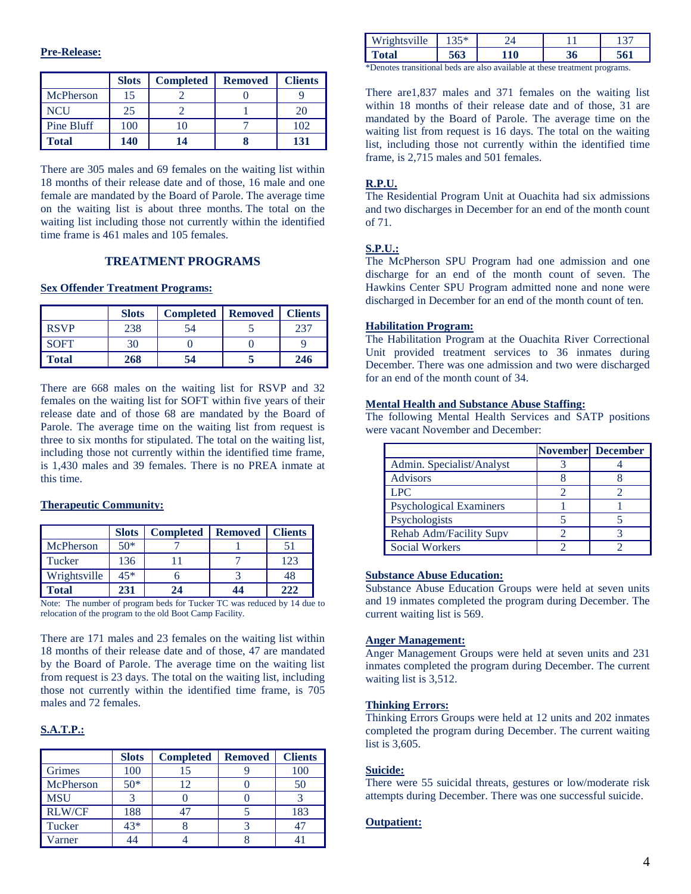## **Pre-Release:**

|            | <b>Slots</b> | <b>Completed</b> | <b>Removed</b> | <b>Clients</b> |
|------------|--------------|------------------|----------------|----------------|
| McPherson  | 15           |                  |                |                |
| NCU        | 25           |                  |                | 20             |
| Pine Bluff | 100          |                  |                | 102            |
| Total      | 140          | 14               |                | 131            |

There are 305 males and 69 females on the waiting list within 18 months of their release date and of those, 16 male and one female are mandated by the Board of Parole. The average time on the waiting list is about three months. The total on the waiting list including those not currently within the identified time frame is 461 males and 105 females.

# **TREATMENT PROGRAMS**

#### **Sex Offender Treatment Programs:**

|              | <b>Slots</b> | <b>Completed</b> | <b>Removed</b> | <b>Clients</b> |
|--------------|--------------|------------------|----------------|----------------|
| <b>RSVP</b>  | 238          | 54               |                | 237            |
| SOFT         | 30           |                  |                |                |
| <b>Total</b> | 268          | 54               |                | 246            |

There are 668 males on the waiting list for RSVP and 32 females on the waiting list for SOFT within five years of their release date and of those 68 are mandated by the Board of Parole. The average time on the waiting list from request is three to six months for stipulated. The total on the waiting list, including those not currently within the identified time frame, is 1,430 males and 39 females. There is no PREA inmate at this time.

#### **Therapeutic Community:**

|              | <b>Slots</b> | <b>Completed</b> | <b>Removed</b> | <b>Clients</b> |
|--------------|--------------|------------------|----------------|----------------|
| McPherson    | $50*$        |                  |                |                |
| Tucker       | 136          |                  |                | 123            |
| Wrightsville | $45*$        |                  |                | 48             |
| Fotal        | 231          | 24               | 44             | 222            |

Note: The number of program beds for Tucker TC was reduced by 14 due to relocation of the program to the old Boot Camp Facility.

There are 171 males and 23 females on the waiting list within 18 months of their release date and of those, 47 are mandated by the Board of Parole. The average time on the waiting list from request is 23 days. The total on the waiting list, including those not currently within the identified time frame, is 705 males and 72 females.

## **S.A.T.P.:**

|               | <b>Slots</b> | <b>Completed</b> | <b>Removed</b> | <b>Clients</b> |
|---------------|--------------|------------------|----------------|----------------|
| Grimes        | 100          |                  |                | 100            |
| McPherson     | $50*$        | 12               |                | 50             |
| <b>MSU</b>    |              |                  |                |                |
| <b>RLW/CF</b> | 188          |                  |                | 183            |
| Tucker        | 43*          |                  |                | $4-$           |
| 'arner        |              |                  |                |                |

| 111<br>۱۱۵ | $20 - 4$<br>1 J J |    |    |  |
|------------|-------------------|----|----|--|
| ⊥otal      | - - -<br>v.       | 10 | 90 |  |
| . .        | .                 |    |    |  |

\*Denotes transitional beds are also available at these treatment programs.

There are1,837 males and 371 females on the waiting list within 18 months of their release date and of those, 31 are mandated by the Board of Parole. The average time on the waiting list from request is 16 days. The total on the waiting list, including those not currently within the identified time frame, is 2,715 males and 501 females.

#### **R.P.U.**

The Residential Program Unit at Ouachita had six admissions and two discharges in December for an end of the month count of 71.

# **S.P.U.:**

The McPherson SPU Program had one admission and one discharge for an end of the month count of seven. The Hawkins Center SPU Program admitted none and none were discharged in December for an end of the month count of ten.

#### **Habilitation Program:**

The Habilitation Program at the Ouachita River Correctional Unit provided treatment services to 36 inmates during December. There was one admission and two were discharged for an end of the month count of 34.

#### **Mental Health and Substance Abuse Staffing:**

The following Mental Health Services and SATP positions were vacant November and December:

|                                | November December |
|--------------------------------|-------------------|
| Admin. Specialist/Analyst      |                   |
| <b>Advisors</b>                |                   |
| <b>LPC</b>                     |                   |
| <b>Psychological Examiners</b> |                   |
| Psychologists                  |                   |
| Rehab Adm/Facility Supv        |                   |
| <b>Social Workers</b>          |                   |

# **Substance Abuse Education:**

Substance Abuse Education Groups were held at seven units and 19 inmates completed the program during December. The current waiting list is 569.

#### **Anger Management:**

Anger Management Groups were held at seven units and 231 inmates completed the program during December. The current waiting list is 3,512.

#### **Thinking Errors:**

Thinking Errors Groups were held at 12 units and 202 inmates completed the program during December. The current waiting list is 3,605.

# **Suicide:**

There were 55 suicidal threats, gestures or low/moderate risk attempts during December. There was one successful suicide.

# **Outpatient:**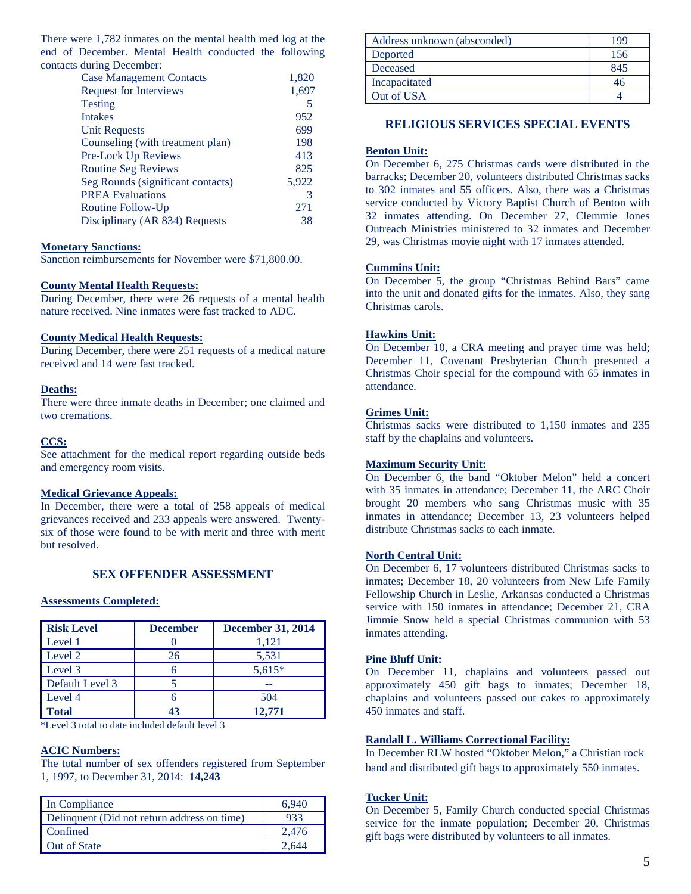There were 1,782 inmates on the mental health med log at the end of December. Mental Health conducted the following contacts during December:

| 1,820 |
|-------|
| 1,697 |
| 5     |
| 952   |
| 699   |
| 198   |
| 413   |
| 825   |
| 5,922 |
| 3     |
| 271   |
| 38    |
|       |

## **Monetary Sanctions:**

Sanction reimbursements for November were \$71,800.00.

#### **County Mental Health Requests:**

During December, there were 26 requests of a mental health nature received. Nine inmates were fast tracked to ADC.

# **County Medical Health Requests:**

During December, there were 251 requests of a medical nature received and 14 were fast tracked.

#### **Deaths:**

There were three inmate deaths in December; one claimed and two cremations.

#### **CCS:**

See attachment for the medical report regarding outside beds and emergency room visits.

#### **Medical Grievance Appeals:**

In December, there were a total of 258 appeals of medical grievances received and 233 appeals were answered. Twentysix of those were found to be with merit and three with merit but resolved.

# **SEX OFFENDER ASSESSMENT**

#### **Assessments Completed:**

| <b>Risk Level</b> | <b>December</b> | <b>December 31, 2014</b> |
|-------------------|-----------------|--------------------------|
| Level 1           |                 | 1,121                    |
| Level 2           | 26              | 5,531                    |
| Level 3           |                 | $5,615*$                 |
| Default Level 3   |                 |                          |
| Level 4           |                 | 504                      |
| <b>Total</b>      | 43              | 12.771                   |

\*Level 3 total to date included default level 3

# **ACIC Numbers:**

The total number of sex offenders registered from September 1, 1997, to December 31, 2014: **14,243**

| In Compliance                               | 6.940 |
|---------------------------------------------|-------|
| Delinquent (Did not return address on time) | 933   |
| Confined                                    | 2.476 |
| Out of State                                | 2.644 |

| Address unknown (absconded) | 199 |
|-----------------------------|-----|
| Deported                    | 156 |
| Deceased                    | 845 |
| Incapacitated               |     |
| Out of USA                  |     |

# **RELIGIOUS SERVICES SPECIAL EVENTS**

#### **Benton Unit:**

On December 6, 275 Christmas cards were distributed in the barracks; December 20, volunteers distributed Christmas sacks to 302 inmates and 55 officers. Also, there was a Christmas service conducted by Victory Baptist Church of Benton with 32 inmates attending. On December 27, Clemmie Jones Outreach Ministries ministered to 32 inmates and December 29, was Christmas movie night with 17 inmates attended.

#### **Cummins Unit:**

On December 5, the group "Christmas Behind Bars" came into the unit and donated gifts for the inmates. Also, they sang Christmas carols.

#### **Hawkins Unit:**

On December 10, a CRA meeting and prayer time was held; December 11, Covenant Presbyterian Church presented a Christmas Choir special for the compound with 65 inmates in attendance.

#### **Grimes Unit:**

Christmas sacks were distributed to 1,150 inmates and 235 staff by the chaplains and volunteers.

#### **Maximum Security Unit:**

On December 6, the band "Oktober Melon" held a concert with 35 inmates in attendance; December 11, the ARC Choir brought 20 members who sang Christmas music with 35 inmates in attendance; December 13, 23 volunteers helped distribute Christmas sacks to each inmate.

# **North Central Unit:**

On December 6, 17 volunteers distributed Christmas sacks to inmates; December 18, 20 volunteers from New Life Family Fellowship Church in Leslie, Arkansas conducted a Christmas service with 150 inmates in attendance; December 21, CRA Jimmie Snow held a special Christmas communion with 53 inmates attending.

## **Pine Bluff Unit:**

On December 11, chaplains and volunteers passed out approximately 450 gift bags to inmates; December 18, chaplains and volunteers passed out cakes to approximately 450 inmates and staff.

# **Randall L. Williams Correctional Facility:**

In December RLW hosted "Oktober Melon," a Christian rock band and distributed gift bags to approximately 550 inmates.

#### **Tucker Unit:**

On December 5, Family Church conducted special Christmas service for the inmate population; December 20, Christmas gift bags were distributed by volunteers to all inmates.